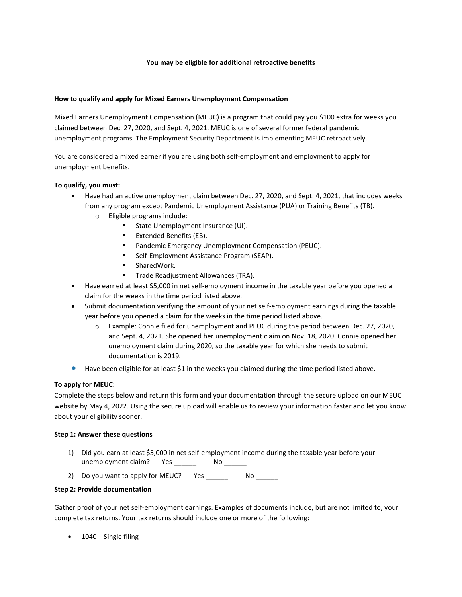## You may be eligible for additional retroactive benefits

#### How to qualify and apply for Mixed Earners Unemployment Compensation

Mixed Earners Unemployment Compensation (MEUC) is a program that could pay you \$100 extra for weeks you claimed between Dec. 27, 2020, and Sept. 4, 2021. MEUC is one of several former federal pandemic unemployment programs. The Employment Security Department is implementing MEUC retroactively.

You are considered a mixed earner if you are using both self-employment and employment to apply for unemployment benefits.

#### To qualify, you must:

- Have had an active unemployment claim between Dec. 27, 2020, and Sept. 4, 2021, that includes weeks from any program except Pandemic Unemployment Assistance (PUA) or Training Benefits (TB).
	- o Eligible programs include:
		- **State Unemployment Insurance (UI).**
		- **Extended Benefits (EB).**
		- **Pandemic Emergency Unemployment Compensation (PEUC).**
		- **Self-Employment Assistance Program (SEAP).**
		- **SharedWork.**
		- **Trade Readjustment Allowances (TRA).**
- Have earned at least \$5,000 in net self-employment income in the taxable year before you opened a claim for the weeks in the time period listed above.
- Submit documentation verifying the amount of your net self-employment earnings during the taxable year before you opened a claim for the weeks in the time period listed above.
	- o Example: Connie filed for unemployment and PEUC during the period between Dec. 27, 2020, and Sept. 4, 2021. She opened her unemployment claim on Nov. 18, 2020. Connie opened her unemployment claim during 2020, so the taxable year for which she needs to submit documentation is 2019.
- **•** Have been eligible for at least \$1 in the weeks you claimed during the time period listed above.

## To apply for MEUC:

Complete the steps below and return this form and your documentation through the secure upload on our MEUC website by May 4, 2022. Using the secure upload will enable us to review your information faster and let you know about your eligibility sooner.

#### Step 1: Answer these questions

- 1) Did you earn at least \$5,000 in net self-employment income during the taxable year before your unemployment claim? Yes No
- 2) Do you want to apply for MEUC? Yes \_\_\_\_\_\_\_\_ No \_\_\_\_\_\_

## Step 2: Provide documentation

Gather proof of your net self-employment earnings. Examples of documents include, but are not limited to, your complete tax returns. Your tax returns should include one or more of the following:

 $\bullet$  1040 – Single filing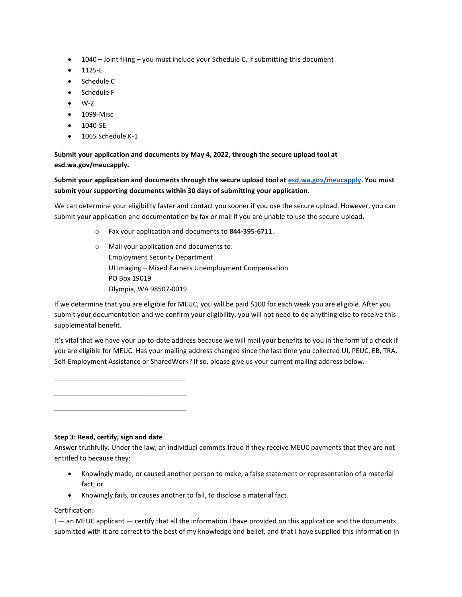- 1040 Joint filing you must include your Schedule C, if submitting this document
- $-1125-E$
- Schedule C
- Schedule F
- W-2
- 1099-Misc
- 1040-SE
- 1065 Schedule K-1

Submit your application and documents by May 4, 2022, through the secure upload tool at esd.wa.gov/meucapply.

Submit your application and documents through the secure upload tool at esd.wa.gov/meucapply. You must submit your supporting documents within 30 days of submitting your application.

We can determine your eligibility faster and contact you sooner if you use the secure upload. However, you can submit your application and documentation by fax or mail if you are unable to use the secure upload.

- o Fax your application and documents to 844-395-6711.
- o Mail your application and documents to: Employment Security Department UI Imaging – Mixed Earners Unemployment Compensation PO Box 19019 Olympia, WA 98507-0019

If we determine that you are eligible for MEUC, you will be paid \$100 for each week you are eligible. After you submit your documentation and we confirm your eligibility, you will not need to do anything else to receive this supplemental benefit.

It's vital that we have your up-to-date address because we will mail your benefits to you in the form of a check if you are eligible for MEUC. Has your mailing address changed since the last time you collected UI, PEUC, EB, TRA, Self-Employment Assistance or SharedWork? If so, please give us your current mailing address below.

Step 3: Read, certify, sign and date

\_\_\_\_\_\_\_\_\_\_\_\_\_\_\_\_\_\_\_\_\_\_\_\_\_\_\_\_\_\_\_\_\_\_\_

\_\_\_\_\_\_\_\_\_\_\_\_\_\_\_\_\_\_\_\_\_\_\_\_\_\_\_\_\_\_\_\_\_\_\_

\_\_\_\_\_\_\_\_\_\_\_\_\_\_\_\_\_\_\_\_\_\_\_\_\_\_\_\_\_\_\_\_\_\_\_

Answer truthfully. Under the law, an individual commits fraud if they receive MEUC payments that they are not entitled to because they:

- Knowingly made, or caused another person to make, a false statement or representation of a material fact; or
- Knowingly fails, or causes another to fail, to disclose a material fact.

Certification:

I — an MEUC applicant — certify that all the information I have provided on this application and the documents submitted with it are correct to the best of my knowledge and belief, and that I have supplied this information in